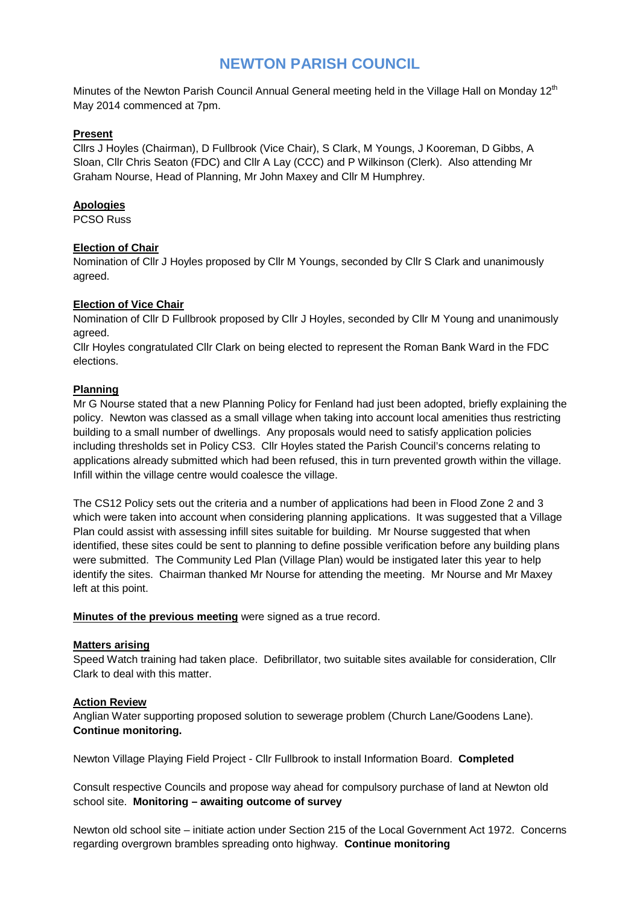# **NEWTON PARISH COUNCIL**

Minutes of the Newton Parish Council Annual General meeting held in the Village Hall on Monday 12<sup>th</sup> May 2014 commenced at 7pm.

#### **Present**

Cllrs J Hoyles (Chairman), D Fullbrook (Vice Chair), S Clark, M Youngs, J Kooreman, D Gibbs, A Sloan, Cllr Chris Seaton (FDC) and Cllr A Lay (CCC) and P Wilkinson (Clerk). Also attending Mr Graham Nourse, Head of Planning, Mr John Maxey and Cllr M Humphrey.

## **Apologies**

PCSO Russ

#### **Election of Chair**

Nomination of Cllr J Hoyles proposed by Cllr M Youngs, seconded by Cllr S Clark and unanimously agreed.

#### **Election of Vice Chair**

Nomination of Cllr D Fullbrook proposed by Cllr J Hoyles, seconded by Cllr M Young and unanimously agreed.

Cllr Hoyles congratulated Cllr Clark on being elected to represent the Roman Bank Ward in the FDC elections.

#### **Planning**

Mr G Nourse stated that a new Planning Policy for Fenland had just been adopted, briefly explaining the policy. Newton was classed as a small village when taking into account local amenities thus restricting building to a small number of dwellings. Any proposals would need to satisfy application policies including thresholds set in Policy CS3. Cllr Hoyles stated the Parish Council's concerns relating to applications already submitted which had been refused, this in turn prevented growth within the village. Infill within the village centre would coalesce the village.

The CS12 Policy sets out the criteria and a number of applications had been in Flood Zone 2 and 3 which were taken into account when considering planning applications. It was suggested that a Village Plan could assist with assessing infill sites suitable for building. Mr Nourse suggested that when identified, these sites could be sent to planning to define possible verification before any building plans were submitted. The Community Led Plan (Village Plan) would be instigated later this year to help identify the sites. Chairman thanked Mr Nourse for attending the meeting. Mr Nourse and Mr Maxey left at this point.

**Minutes of the previous meeting** were signed as a true record.

## **Matters arising**

Speed Watch training had taken place. Defibrillator, two suitable sites available for consideration, Cllr Clark to deal with this matter.

#### **Action Review**

Anglian Water supporting proposed solution to sewerage problem (Church Lane/Goodens Lane). **Continue monitoring.**

Newton Village Playing Field Project - Cllr Fullbrook to install Information Board. **Completed**

Consult respective Councils and propose way ahead for compulsory purchase of land at Newton old school site. **Monitoring – awaiting outcome of survey**

Newton old school site – initiate action under Section 215 of the Local Government Act 1972. Concerns regarding overgrown brambles spreading onto highway. **Continue monitoring**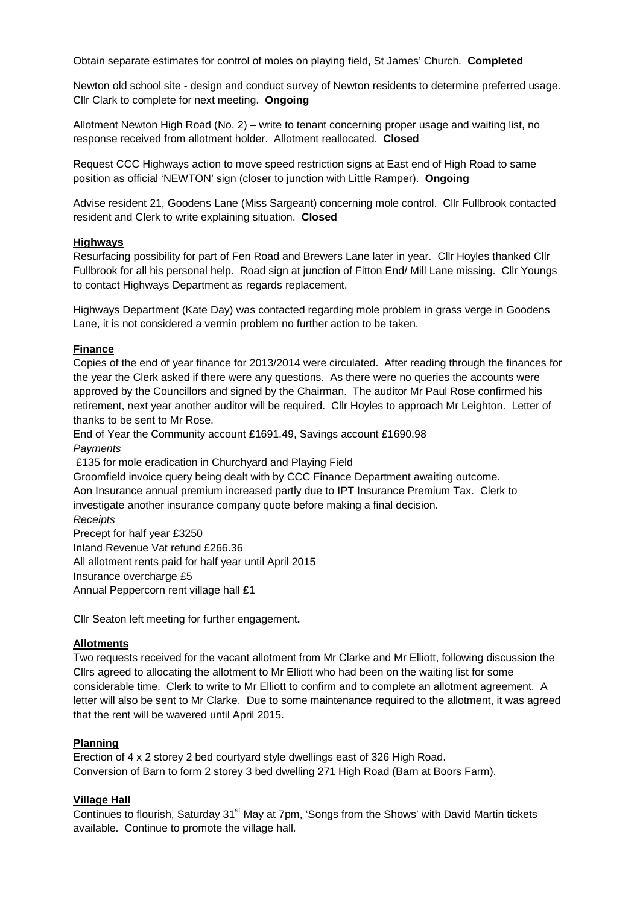Obtain separate estimates for control of moles on playing field, St James' Church. **Completed**

Newton old school site - design and conduct survey of Newton residents to determine preferred usage. Cllr Clark to complete for next meeting. **Ongoing**

Allotment Newton High Road (No. 2) – write to tenant concerning proper usage and waiting list, no response received from allotment holder. Allotment reallocated. **Closed**

Request CCC Highways action to move speed restriction signs at East end of High Road to same position as official 'NEWTON' sign (closer to junction with Little Ramper). **Ongoing**

Advise resident 21, Goodens Lane (Miss Sargeant) concerning mole control. Cllr Fullbrook contacted resident and Clerk to write explaining situation. **Closed**

#### **Highways**

Resurfacing possibility for part of Fen Road and Brewers Lane later in year. Cllr Hoyles thanked Cllr Fullbrook for all his personal help. Road sign at junction of Fitton End/ Mill Lane missing. Cllr Youngs to contact Highways Department as regards replacement.

Highways Department (Kate Day) was contacted regarding mole problem in grass verge in Goodens Lane, it is not considered a vermin problem no further action to be taken.

#### **Finance**

Copies of the end of year finance for 2013/2014 were circulated. After reading through the finances for the year the Clerk asked if there were any questions. As there were no queries the accounts were approved by the Councillors and signed by the Chairman. The auditor Mr Paul Rose confirmed his retirement, next year another auditor will be required. Cllr Hoyles to approach Mr Leighton. Letter of thanks to be sent to Mr Rose.

End of Year the Community account £1691.49, Savings account £1690.98 *Payments*

£135 for mole eradication in Churchyard and Playing Field

Groomfield invoice query being dealt with by CCC Finance Department awaiting outcome.

Aon Insurance annual premium increased partly due to IPT Insurance Premium Tax. Clerk to investigate another insurance company quote before making a final decision.

*Receipts*

Precept for half year £3250 Inland Revenue Vat refund £266.36 All allotment rents paid for half year until April 2015 Insurance overcharge £5 Annual Peppercorn rent village hall £1

Cllr Seaton left meeting for further engagement**.**

## **Allotments**

Two requests received for the vacant allotment from Mr Clarke and Mr Elliott, following discussion the Cllrs agreed to allocating the allotment to Mr Elliott who had been on the waiting list for some considerable time. Clerk to write to Mr Elliott to confirm and to complete an allotment agreement. A letter will also be sent to Mr Clarke. Due to some maintenance required to the allotment, it was agreed that the rent will be wavered until April 2015.

#### **Planning**

Erection of 4 x 2 storey 2 bed courtyard style dwellings east of 326 High Road. Conversion of Barn to form 2 storey 3 bed dwelling 271 High Road (Barn at Boors Farm).

## **Village Hall**

Continues to flourish, Saturday 31<sup>st</sup> May at 7pm, 'Songs from the Shows' with David Martin tickets available. Continue to promote the village hall.